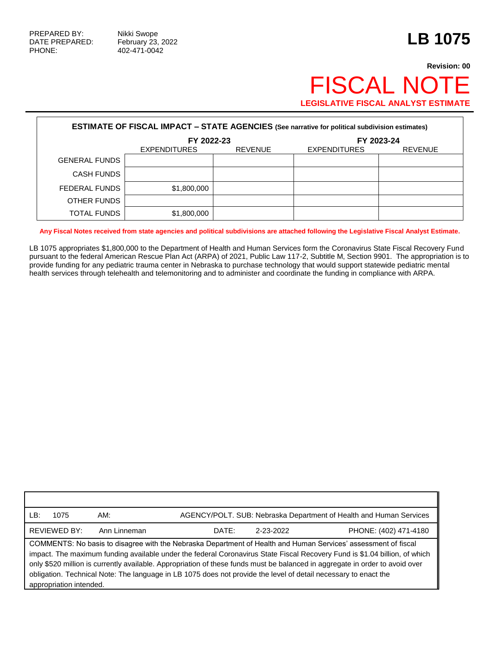Г

PHONE: 402-471-0042

## **Revision: 00** FISCAL NOTE **LEGISLATIVE FISCAL ANALYST ESTIMATE**

| <b>ESTIMATE OF FISCAL IMPACT - STATE AGENCIES (See narrative for political subdivision estimates)</b> |                     |                |                     |                |  |  |  |
|-------------------------------------------------------------------------------------------------------|---------------------|----------------|---------------------|----------------|--|--|--|
|                                                                                                       | FY 2022-23          |                | FY 2023-24          |                |  |  |  |
|                                                                                                       | <b>EXPENDITURES</b> | <b>REVENUE</b> | <b>EXPENDITURES</b> | <b>REVENUE</b> |  |  |  |
| <b>GENERAL FUNDS</b>                                                                                  |                     |                |                     |                |  |  |  |
| <b>CASH FUNDS</b>                                                                                     |                     |                |                     |                |  |  |  |
| FEDERAL FUNDS                                                                                         | \$1,800,000         |                |                     |                |  |  |  |
| OTHER FUNDS                                                                                           |                     |                |                     |                |  |  |  |
| <b>TOTAL FUNDS</b>                                                                                    | \$1,800,000         |                |                     |                |  |  |  |

**Any Fiscal Notes received from state agencies and political subdivisions are attached following the Legislative Fiscal Analyst Estimate.**

LB 1075 appropriates \$1,800,000 to the Department of Health and Human Services form the Coronavirus State Fiscal Recovery Fund pursuant to the federal American Rescue Plan Act (ARPA) of 2021, Public Law 117-2, Subtitle M, Section 9901. The appropriation is to provide funding for any pediatric trauma center in Nebraska to purchase technology that would support statewide pediatric mental health services through telehealth and telemonitoring and to administer and coordinate the funding in compliance with ARPA.

| LB:<br>1075                                                                                                                                                                                                                                                                                                                                                                                                                                                                                                                | AM:          |                    | AGENCY/POLT. SUB: Nebraska Department of Health and Human Services |  |  |
|----------------------------------------------------------------------------------------------------------------------------------------------------------------------------------------------------------------------------------------------------------------------------------------------------------------------------------------------------------------------------------------------------------------------------------------------------------------------------------------------------------------------------|--------------|--------------------|--------------------------------------------------------------------|--|--|
| <b>REVIEWED BY:</b>                                                                                                                                                                                                                                                                                                                                                                                                                                                                                                        | Ann Linneman | 2-23-2022<br>DATE: | PHONE: (402) 471-4180                                              |  |  |
| COMMENTS: No basis to disagree with the Nebraska Department of Health and Human Services' assessment of fiscal<br>impact. The maximum funding available under the federal Coronavirus State Fiscal Recovery Fund is \$1.04 billion, of which<br>only \$520 million is currently available. Appropriation of these funds must be balanced in aggregate in order to avoid over<br>obligation. Technical Note: The language in LB 1075 does not provide the level of detail necessary to enact the<br>appropriation intended. |              |                    |                                                                    |  |  |